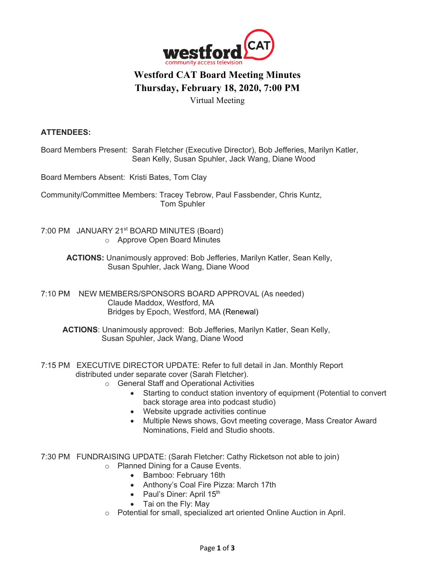

## **Westford CAT Board Meeting Minutes Thursday, February 18, 2020, 7:00 PM**

Virtual Meeting

## **ATTENDEES:**

| Board Members Present: Sarah Fletcher (Executive Director), Bob Jefferies, Marilyn Katler,<br>Sean Kelly, Susan Spuhler, Jack Wang, Diane Wood                                                                                                                                                                                                                                            |
|-------------------------------------------------------------------------------------------------------------------------------------------------------------------------------------------------------------------------------------------------------------------------------------------------------------------------------------------------------------------------------------------|
| Board Members Absent: Kristi Bates, Tom Clay                                                                                                                                                                                                                                                                                                                                              |
| Community/Committee Members: Tracey Tebrow, Paul Fassbender, Chris Kuntz,<br><b>Tom Spuhler</b>                                                                                                                                                                                                                                                                                           |
| 7:00 PM JANUARY 21 <sup>st</sup> BOARD MINUTES (Board)<br>o Approve Open Board Minutes                                                                                                                                                                                                                                                                                                    |
| <b>ACTIONS:</b> Unanimously approved: Bob Jefferies, Marilyn Katler, Sean Kelly,<br>Susan Spuhler, Jack Wang, Diane Wood                                                                                                                                                                                                                                                                  |
| 7:10 PM NEW MEMBERS/SPONSORS BOARD APPROVAL (As needed)<br>Claude Maddox, Westford, MA<br>Bridges by Epoch, Westford, MA (Renewal)                                                                                                                                                                                                                                                        |
| ACTIONS: Unanimously approved: Bob Jefferies, Marilyn Katler, Sean Kelly,<br>Susan Spuhler, Jack Wang, Diane Wood                                                                                                                                                                                                                                                                         |
| 7:15 PM EXECUTIVE DIRECTOR UPDATE: Refer to full detail in Jan. Monthly Report<br>distributed under separate cover (Sarah Fletcher).<br><b>General Staff and Operational Activities</b><br>$\circ$<br>Starting to conduct station inventory of equipment (Potential to convert<br>$\bullet$<br>back storage area into podcast studio)<br>Website upgrade activities continue<br>$\bullet$ |

• Multiple News shows, Govt meeting coverage, Mass Creator Award Nominations, Field and Studio shoots.

7:30 PM FUNDRAISING UPDATE: (Sarah Fletcher: Cathy Ricketson not able to join) o Planned Dining for a Cause Events.

- Bamboo: February 16th
- Anthony's Coal Fire Pizza: March 17th
- Paul's Diner: April  $15<sup>th</sup>$
- Tai on the Fly: May
- o Potential for small, specialized art oriented Online Auction in April.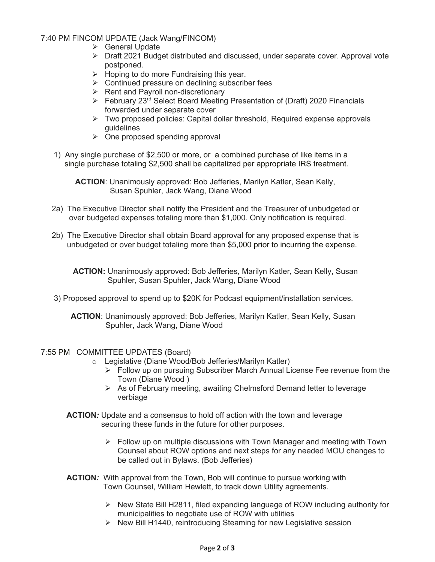7:40 PM FINCOM UPDATE (Jack Wang/FINCOM)

- $\triangleright$  General Update
- Ø Draft 2021 Budget distributed and discussed, under separate cover. Approval vote postponed.
- $\triangleright$  Hoping to do more Fundraising this year.
- $\triangleright$  Continued pressure on declining subscriber fees
- $\triangleright$  Rent and Payroll non-discretionary
- $\triangleright$  February 23<sup>rd</sup> Select Board Meeting Presentation of (Draft) 2020 Financials forwarded under separate cover
- $\triangleright$  Two proposed policies: Capital dollar threshold, Required expense approvals guidelines
- $\triangleright$  One proposed spending approval
- 1)Any single purchase of \$2,500 or more, or a combined purchase of like items in a single purchase totaling \$2,500 shall be capitalized per appropriate IRS treatment.

 **ACTION**: Unanimously approved: Bob Jefferies, Marilyn Katler, Sean Kelly, Susan Spuhler, Jack Wang, Diane Wood

- 2a) The Executive Director shall notify the President and the Treasurer of unbudgeted or over budgeted expenses totaling more than \$1,000. Only notification is required.
- 2b) The Executive Director shall obtain Board approval for any proposed expense that is unbudgeted or over budget totaling more than \$5,000 prior to incurring the expense.

 **ACTION:** Unanimously approved: Bob Jefferies, Marilyn Katler, Sean Kelly, Susan Spuhler, Susan Spuhler, Jack Wang, Diane Wood

- 3) Proposed approval to spend up to \$20K for Podcast equipment/installation services.
	- **ACTION**: Unanimously approved: Bob Jefferies, Marilyn Katler, Sean Kelly, Susan Spuhler, Jack Wang, Diane Wood

## 7:55 PM COMMITTEE UPDATES (Board)

- o Legislative (Diane Wood/Bob Jefferies/Marilyn Katler)
	- $\triangleright$  Follow up on pursuing Subscriber March Annual License Fee revenue from the Town (Diane Wood )
	- $\triangleright$  As of February meeting, awaiting Chelmsford Demand letter to leverage verbiage
- **ACTION***:* Update and a consensus to hold off action with the town and leverage securing these funds in the future for other purposes.
	- $\triangleright$  Follow up on multiple discussions with Town Manager and meeting with Town Counsel about ROW options and next steps for any needed MOU changes to be called out in Bylaws. (Bob Jefferies)
- **ACTION***:* With approval from the Town, Bob will continue to pursue working with Town Counsel, William Hewlett, to track down Utility agreements.
	- $\triangleright$  New State Bill H2811, filed expanding language of ROW including authority for municipalities to negotiate use of ROW with utilities
	- $\triangleright$  New Bill H1440, reintroducing Steaming for new Legislative session